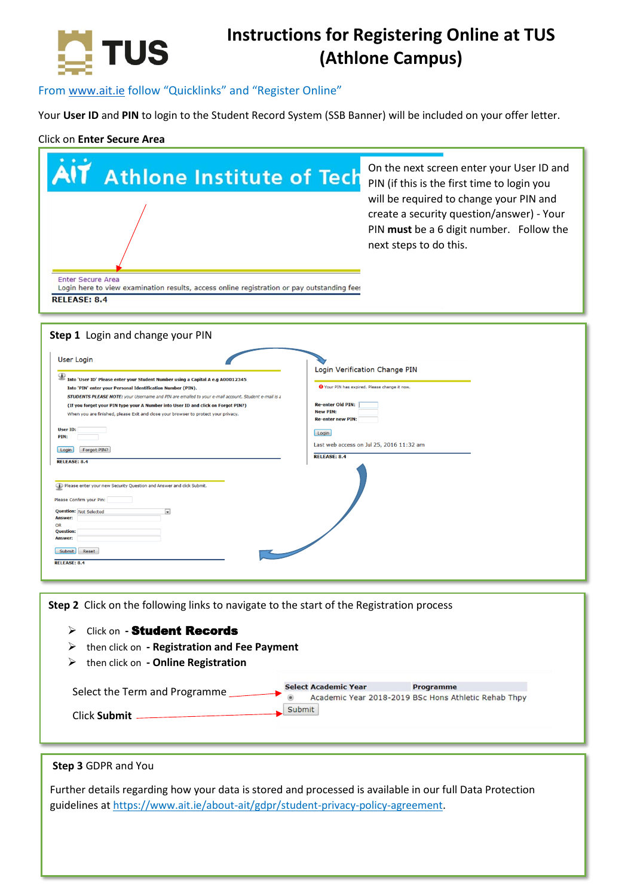

## **Instructions for Registering Online at TUS (Athlone Campus)**

## From [www.ait.ie](http://www.ait.ie/) follow "Quicklinks" and "Register Online"

Your **User ID** and **PIN** to login to the Student Record System (SSB Banner) will be included on your offer letter.

## Click on **Enter Secure Area**

| <b>Athlone Institute of Tech</b><br><b>Enter Secure Area</b><br>Login here to view examination results, access online registration or pay outstanding fees<br><b>RELEASE: 8.4</b>                                                                                                                                             | On the next screen enter your User ID and<br>PIN (if this is the first time to login you<br>will be required to change your PIN and<br>create a security question/answer) - Your<br>PIN must be a 6 digit number. Follow the<br>next steps to do this. |  |
|-------------------------------------------------------------------------------------------------------------------------------------------------------------------------------------------------------------------------------------------------------------------------------------------------------------------------------|--------------------------------------------------------------------------------------------------------------------------------------------------------------------------------------------------------------------------------------------------------|--|
|                                                                                                                                                                                                                                                                                                                               |                                                                                                                                                                                                                                                        |  |
| Step 1 Login and change your PIN                                                                                                                                                                                                                                                                                              |                                                                                                                                                                                                                                                        |  |
| <b>User Login</b>                                                                                                                                                                                                                                                                                                             | Login Verification Change PIN                                                                                                                                                                                                                          |  |
| Into 'User ID' Please enter your Student Number using a Capital A e.g A00012345<br><b>O</b> Your PIN has expired. Please change it now.<br>Into 'PIN' enter your Personal Identification Number (PIN).                                                                                                                        |                                                                                                                                                                                                                                                        |  |
| STUDENTS PLEASE NOTE: your Username and PIN are emailed to your e-mail account. Student e-mail is a<br><b>Re-enter Old PIN:</b><br>(If you forget your PIN type your A Number into User ID and click on Forgot PIN?)<br><b>New PIN:</b><br>When you are finished, please Exit and close your browser to protect your privacy. |                                                                                                                                                                                                                                                        |  |
| <b>User ID:</b>                                                                                                                                                                                                                                                                                                               | <b>Re-enter new PIN:</b><br>Login                                                                                                                                                                                                                      |  |
| PIN:<br>Login Forgot PIN?                                                                                                                                                                                                                                                                                                     | Last web access on Jul 25, 2016 11:32 am<br><b>RELEASE: 8.4</b>                                                                                                                                                                                        |  |
| <b>RELEASE: 8.4</b>                                                                                                                                                                                                                                                                                                           |                                                                                                                                                                                                                                                        |  |
| Please enter your new Security Question and Answer and click Submit.                                                                                                                                                                                                                                                          |                                                                                                                                                                                                                                                        |  |
| Please Confirm your Pin:<br><b>Question: Not Selected</b>                                                                                                                                                                                                                                                                     |                                                                                                                                                                                                                                                        |  |
| <b>Answer:</b><br>OR<br><b>Question:</b>                                                                                                                                                                                                                                                                                      |                                                                                                                                                                                                                                                        |  |
| Answer:<br><b>Submit</b><br>Reset                                                                                                                                                                                                                                                                                             |                                                                                                                                                                                                                                                        |  |
| <b>RELEASE: 8.4</b>                                                                                                                                                                                                                                                                                                           |                                                                                                                                                                                                                                                        |  |
|                                                                                                                                                                                                                                                                                                                               |                                                                                                                                                                                                                                                        |  |
| Step 2 Click on the following links to navigate to the start of the Registration process                                                                                                                                                                                                                                      |                                                                                                                                                                                                                                                        |  |
| <b>Click on - Student Records</b><br>➤                                                                                                                                                                                                                                                                                        |                                                                                                                                                                                                                                                        |  |
| then click on - Registration and Fee Payment<br>➤                                                                                                                                                                                                                                                                             |                                                                                                                                                                                                                                                        |  |
| then click on - Online Registration<br>➤                                                                                                                                                                                                                                                                                      |                                                                                                                                                                                                                                                        |  |
| <b>Select Academic Year</b><br>Programme<br>Select the Term and Programme<br>Academic Year 2018-2019 BSc Hons Athletic Rehab Thpy                                                                                                                                                                                             |                                                                                                                                                                                                                                                        |  |
| Submit<br>Click Submit                                                                                                                                                                                                                                                                                                        |                                                                                                                                                                                                                                                        |  |
|                                                                                                                                                                                                                                                                                                                               |                                                                                                                                                                                                                                                        |  |
|                                                                                                                                                                                                                                                                                                                               |                                                                                                                                                                                                                                                        |  |
| Step 3 GDPR and You                                                                                                                                                                                                                                                                                                           |                                                                                                                                                                                                                                                        |  |
| Further details regarding how your data is stored and processed is available in our full Data Protection                                                                                                                                                                                                                      |                                                                                                                                                                                                                                                        |  |
| guidelines at https://www.ait.ie/about-ait/gdpr/student-privacy-policy-agreement.                                                                                                                                                                                                                                             |                                                                                                                                                                                                                                                        |  |